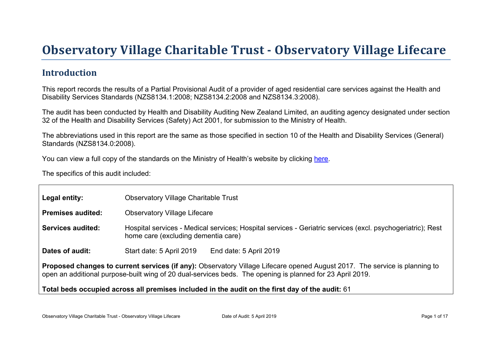# Obser vator y Village Charitable Tr ust - Obser vator y Village Lifecar e

### Introduction

This report records the results of a Partial Provisional Audit of a provider of aged residential care services against the Health and Disability Services Standards (NZS8134.1:2008; NZS8134.2:2008 and NZS8134.3:2008).

The audit has been conducted by Health and Disability Auditing New Zealand Limited, an auditing agency designated under section 32 of the Health and Disability Services (Safety) Act 2001, for submission to the Ministry of Health.

The abbreviations used in this report are the same as those specified in section 10 of the Health and Disability Services (General) Standards (NZS8134.0:2008).

You can view a full copy of the standards on the Ministry of Health's website by clicking [here.](http://www.health.govt.nz/our-work/regulation-health-and-disability-system/certification-health-care-services/health-and-disability-services-standards)

The specifics of this audit included:

| Legal entity:                                                                                                                                                                                                                           | <b>Observatory Village Charitable Trust</b>                                                                                                       |  |  |  |  |
|-----------------------------------------------------------------------------------------------------------------------------------------------------------------------------------------------------------------------------------------|---------------------------------------------------------------------------------------------------------------------------------------------------|--|--|--|--|
| Premises audited:                                                                                                                                                                                                                       | <b>Observatory Village Lifecare</b>                                                                                                               |  |  |  |  |
| Services audited:                                                                                                                                                                                                                       | Hospital services - Medical services; Hospital services - Geriatric services (excl. psychogeriatric); Rest<br>home care (excluding dementia care) |  |  |  |  |
| Dates of audit:                                                                                                                                                                                                                         | Start date: 5 April 2019<br>End date: 5 April 2019                                                                                                |  |  |  |  |
| Proposed changes to current services (if any): Observatory Village Lifecare opened August 2017. The service is planning to<br>open an additional purpose-built wing of 20 dual-services beds. The opening is planned for 23 April 2019. |                                                                                                                                                   |  |  |  |  |
| Total beds occupied across all premises included                                                                                                                                                                                        | in the audit on the first day of the audit: 61                                                                                                    |  |  |  |  |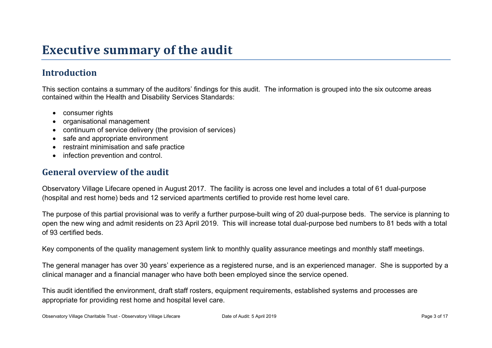## **Executive summary of the audit**

### **Introduction**

This section contains a summary of the auditors' findings for this audit. The information is grouped into the six outcome areas contained within the Health and Disability Services Standards:

- consumer rights
- organisational management
- continuum of service delivery (the provision of services)
- safe and appropriate environment
- restraint minimisation and safe practice
- infection prevention and control.

#### **General overview of the audit**

Observatory Village Lifecare opened in August 2017. The facility is across one level and includes a total of 61 dual-purpose (hospital and rest home) beds and 12 serviced apartments certified to provide rest home level care.

The purpose of this partial provisional was to verify a further purpose-built wing of 20 dual-purpose beds. The service is planning to open the new wing and admit residents on 23 April 2019. This will increase total dual-purpose bed numbers to 81 beds with a total of 93 certified beds.

Key components of the quality management system link to monthly quality assurance meetings and monthly staff meetings.

The general manager has over 30 years' experience as a registered nurse, and is an experienced manager. She is supported by a clinical manager and a financial manager who have both been employed since the service opened.

This audit identified the environment, draft staff rosters, equipment requirements, established systems and processes are appropriate for providing rest home and hospital level care.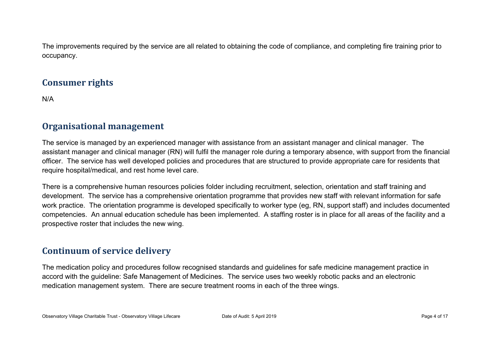The improvements required by the service are all related to obtaining the code of compliance, and completing fire training prior to occupancy.

#### **Consumer rights**

N/A

#### **Organisational management**

The service is managed by an experienced manager with assistance from an assistant manager and clinical manager. The assistant manager and clinical manager (RN) will fulfil the manager role during a temporary absence, with support from the financial officer. The service has well developed policies and procedures that are structured to provide appropriate care for residents that require hospital/medical, and rest home level care.

There is a comprehensive human resources policies folder including recruitment, selection, orientation and staff training and development. The service has a comprehensive orientation programme that provides new staff with relevant information for safe work practice. The orientation programme is developed specifically to worker type (eg, RN, support staff) and includes documented competencies. An annual education schedule has been implemented. A staffing roster is in place for all areas of the facility and a prospective roster that includes the new wing.

#### **Continuum of service delivery**

The medication policy and procedures follow recognised standards and guidelines for safe medicine management practice in accord with the guideline: Safe Management of Medicines. The service uses two weekly robotic packs and an electronic medication management system. There are secure treatment rooms in each of the three wings.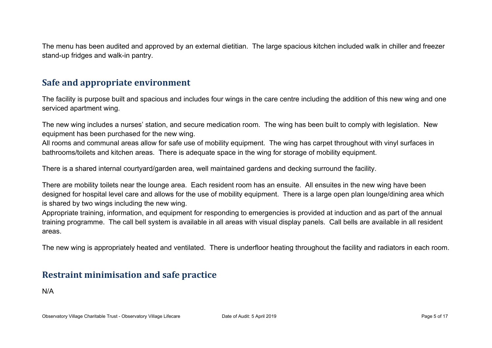The menu has been audited and approved by an external dietitian. The large spacious kitchen included walk in chiller and freezer stand-up fridges and walk-in pantry.

#### **Safe and appropriate environment**

The facility is purpose built and spacious and includes four wings in the care centre including the addition of this new wing and one serviced apartment wing.

The new wing includes a nurses' station, and secure medication room. The wing has been built to comply with legislation. New equipment has been purchased for the new wing.

All rooms and communal areas allow for safe use of mobility equipment. The wing has carpet throughout with vinyl surfaces in bathrooms/toilets and kitchen areas. There is adequate space in the wing for storage of mobility equipment.

There is a shared internal courtyard/garden area, well maintained gardens and decking surround the facility.

There are mobility toilets near the lounge area. Each resident room has an ensuite. All ensuites in the new wing have been designed for hospital level care and allows for the use of mobility equipment. There is a large open plan lounge/dining area which is shared by two wings including the new wing.

Appropriate training, information, and equipment for responding to emergencies is provided at induction and as part of the annual training programme. The call bell system is available in all areas with visual display panels. Call bells are available in all resident areas.

The new wing is appropriately heated and ventilated. There is underfloor heating throughout the facility and radiators in each room.

#### **Restraint minimisation and safe practice**

N/A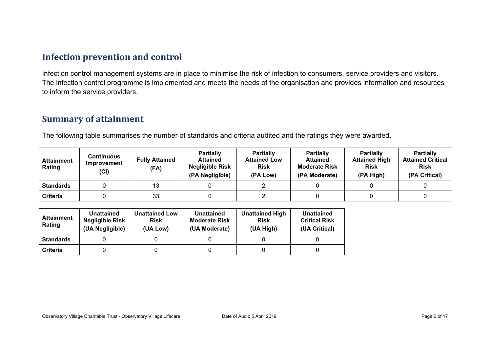#### **Infection prevention and control**

Infection control management systems are in place to minimise the risk of infection to consumers, service providers and visitors. The infection control programme is implemented and meets the needs of the organisation and provides information and resources to inform the service providers.

#### **Summary of attainment**

The following table summarises the number of standards and criteria audited and the ratings they were awarded.

| <b>Attainment</b><br>Rating | <b>Continuous</b><br><b>Improvement</b><br>(Cl) | <b>Fully Attained</b><br>(FA) | <b>Partially</b><br><b>Attained</b><br><b>Negligible Risk</b><br>(PA Negligible) | <b>Partially</b><br><b>Attained Low</b><br><b>Risk</b><br>(PA Low) | <b>Partially</b><br><b>Attained</b><br><b>Moderate Risk</b><br>(PA Moderate) | <b>Partially</b><br><b>Attained High</b><br><b>Risk</b><br>(PA High) | <b>Partially</b><br><b>Attained Critical</b><br><b>Risk</b><br>(PA Critical) |
|-----------------------------|-------------------------------------------------|-------------------------------|----------------------------------------------------------------------------------|--------------------------------------------------------------------|------------------------------------------------------------------------------|----------------------------------------------------------------------|------------------------------------------------------------------------------|
| <b>Standards</b>            |                                                 |                               |                                                                                  |                                                                    |                                                                              |                                                                      |                                                                              |
| Criteria                    |                                                 | 33                            |                                                                                  |                                                                    |                                                                              |                                                                      |                                                                              |

| <b>Attainment</b><br>Rating | <b>Unattained</b><br><b>Negligible Risk</b><br>(UA Negligible) | <b>Unattained Low</b><br><b>Risk</b><br>(UA Low) | Unattained<br><b>Moderate Risk</b><br>(UA Moderate) | <b>Unattained High</b><br><b>Risk</b><br>(UA High) | <b>Unattained</b><br><b>Critical Risk</b><br>(UA Critical) |
|-----------------------------|----------------------------------------------------------------|--------------------------------------------------|-----------------------------------------------------|----------------------------------------------------|------------------------------------------------------------|
| <b>Standards</b>            |                                                                |                                                  |                                                     |                                                    |                                                            |
| <b>Criteria</b>             |                                                                |                                                  |                                                     |                                                    |                                                            |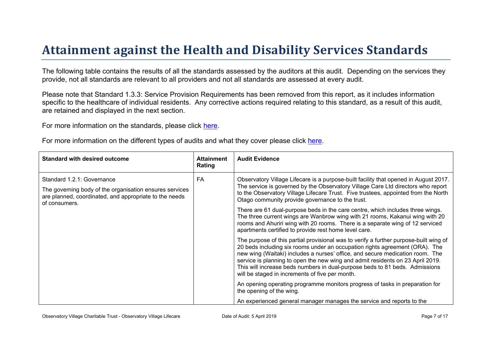# Attainment against the Health and Disability Ser vices Standar ds

The following table contains the results of all the standards assessed by the auditors at this audit. Depending on the services they provide, not all standards are relevant to all providers and not all standards are assessed at every audit.

Please note that Standard 1.3.3: Service Provision Requirements has been removed from this report, as it includes information specific to the healthcare of individual residents. Any corrective actions required relating to this standard, as a result of this audit. are retained and displayed in the next section.

For more information on the standards, please click [here](http://www.health.govt.nz/our-work/regulation-health-and-disability-system/certification-health-care-services/health-and-disability-services-standards).

For more information on the different types of audits and what they cover please click [here.](http://www.health.govt.nz/your-health/services-and-support/health-care-services/services-older-people/rest-home-certification-and-audits)

| Standard with desired outcome                                                                                                                                    | Attainment<br>Rating | Audit Evidence                                                                                                                                                                                                                                                                                                                                                                                                                                                            |
|------------------------------------------------------------------------------------------------------------------------------------------------------------------|----------------------|---------------------------------------------------------------------------------------------------------------------------------------------------------------------------------------------------------------------------------------------------------------------------------------------------------------------------------------------------------------------------------------------------------------------------------------------------------------------------|
| Standard 1.2.1: Governance<br>The governing body of the organisation ensures services<br>are planned, coordinated, and appropriate to the needs<br>of consumers. | FA                   | Observatory Village Lifecare is a purpose-built facility that opened in August 2017.<br>The service is governed by the Observatory Village Care Ltd directors who report<br>to the Observatory Village Lifecare Trust. Five trustees, appointed from the North<br>Otago community provide governance to the trust.<br>There are 61 dual-purpose beds in the care centre, which includes three wings.                                                                      |
|                                                                                                                                                                  |                      | The three current wings are Wanbrow wing with 21 rooms, Kakanui wing with 20<br>rooms and Ahuriri wing with 20 rooms. There is a separate wing of 12 serviced<br>apartments certified to provide rest home level care.                                                                                                                                                                                                                                                    |
|                                                                                                                                                                  |                      | The purpose of this partial provisional was to verify a further purpose-built wing of<br>20 beds including six rooms under an occupation rights agreement (ORA). The<br>new wing (Waitaki) includes a nurses' office, and secure medication room. The<br>service is planning to open the new wing and admit residents on 23 April 2019.<br>This will increase beds numbers in dual-purpose beds to 81 beds. Admissions<br>will be staged in increments of five per month. |
|                                                                                                                                                                  |                      | An opening operating programme monitors progress of tasks in preparation for<br>the opening of the wing.                                                                                                                                                                                                                                                                                                                                                                  |
|                                                                                                                                                                  |                      | An experienced general manager manages the service and reports to the                                                                                                                                                                                                                                                                                                                                                                                                     |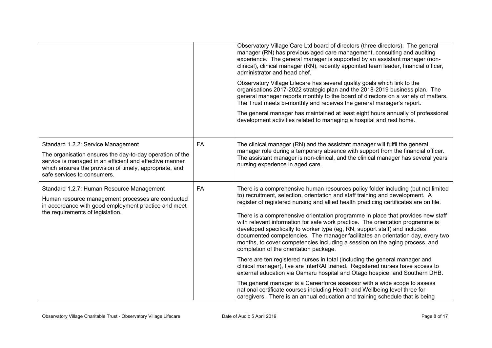|                                                                                                                                                                                                                                                     |           | Observatory Village Care Ltd board of directors (three directors). The general<br>manager (RN) has previous aged care management, consulting and auditing<br>experience. The general manager is supported by an assistant manager (non-<br>clinical), clinical manager (RN), recently appointed team leader, financial officer,<br>administrator and head chef.<br>Observatory Village Lifecare has several quality goals which link to the<br>organisations 2017-2022 strategic plan and the 2018-2019 business plan. The<br>general manager reports monthly to the board of directors on a variety of matters.<br>The Trust meets bi-monthly and receives the general manager's report.<br>The general manager has maintained at least eight hours annually of professional<br>development activities related to managing a hospital and rest home. |
|-----------------------------------------------------------------------------------------------------------------------------------------------------------------------------------------------------------------------------------------------------|-----------|-------------------------------------------------------------------------------------------------------------------------------------------------------------------------------------------------------------------------------------------------------------------------------------------------------------------------------------------------------------------------------------------------------------------------------------------------------------------------------------------------------------------------------------------------------------------------------------------------------------------------------------------------------------------------------------------------------------------------------------------------------------------------------------------------------------------------------------------------------|
| Standard 1.2.2: Service Management<br>The organisation ensures the day-to-day operation of the<br>service is managed in an efficient and effective manner<br>which ensures the provision of timely, appropriate, and<br>safe services to consumers. | <b>FA</b> | The clinical manager (RN) and the assistant manager will fulfil the general<br>manager role during a temporary absence with support from the financial officer.<br>The assistant manager is non-clinical, and the clinical manager has several years<br>nursing experience in aged care.                                                                                                                                                                                                                                                                                                                                                                                                                                                                                                                                                              |
| Standard 1.2.7: Human Resource Management<br>Human resource management processes are conducted<br>in accordance with good employment practice and meet<br>the requirements of legislation.                                                          | <b>FA</b> | There is a comprehensive human resources policy folder including (but not limited<br>to) recruitment, selection, orientation and staff training and development. A<br>register of registered nursing and allied health practicing certificates are on file.<br>There is a comprehensive orientation programme in place that provides new staff<br>with relevant information for safe work practice. The orientation programme is<br>developed specifically to worker type (eg, RN, support staff) and includes<br>documented competencies. The manager facilitates an orientation day, every two<br>months, to cover competencies including a session on the aging process, and<br>completion of the orientation package.<br>There are ten registered nurses in total (including the general manager and                                              |
|                                                                                                                                                                                                                                                     |           | clinical manager), five are interRAI trained. Registered nurses have access to<br>external education via Oamaru hospital and Otago hospice, and Southern DHB.                                                                                                                                                                                                                                                                                                                                                                                                                                                                                                                                                                                                                                                                                         |
|                                                                                                                                                                                                                                                     |           | The general manager is a Careerforce assessor with a wide scope to assess<br>national certificate courses including Health and Wellbeing level three for<br>caregivers. There is an annual education and training schedule that is being                                                                                                                                                                                                                                                                                                                                                                                                                                                                                                                                                                                                              |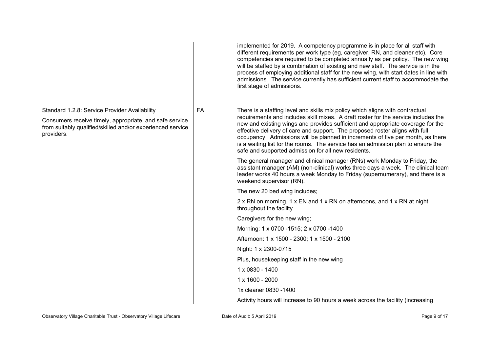|                                                                                                                                                                                      |           | implemented for 2019. A competency programme is in place for all staff with<br>different requirements per work type (eg, caregiver, RN, and cleaner etc). Core<br>competencies are required to be completed annually as per policy. The new wing<br>will be staffed by a combination of existing and new staff. The service is in the<br>process of employing additional staff for the new wing, with start dates in line with<br>admissions. The service currently has sufficient current staff to accommodate the<br>first stage of admissions.                    |
|--------------------------------------------------------------------------------------------------------------------------------------------------------------------------------------|-----------|----------------------------------------------------------------------------------------------------------------------------------------------------------------------------------------------------------------------------------------------------------------------------------------------------------------------------------------------------------------------------------------------------------------------------------------------------------------------------------------------------------------------------------------------------------------------|
| Standard 1.2.8: Service Provider Availability<br>Consumers receive timely, appropriate, and safe service<br>from suitably qualified/skilled and/or experienced service<br>providers. | <b>FA</b> | There is a staffing level and skills mix policy which aligns with contractual<br>requirements and includes skill mixes. A draft roster for the service includes the<br>new and existing wings and provides sufficient and appropriate coverage for the<br>effective delivery of care and support. The proposed roster aligns with full<br>occupancy. Admissions will be planned in increments of five per month, as there<br>is a waiting list for the rooms. The service has an admission plan to ensure the<br>safe and supported admission for all new residents. |
|                                                                                                                                                                                      |           | The general manager and clinical manager (RNs) work Monday to Friday, the<br>assistant manager (AM) (non-clinical) works three days a week. The clinical team<br>leader works 40 hours a week Monday to Friday (supernumerary), and there is a<br>weekend supervisor (RN).                                                                                                                                                                                                                                                                                           |
|                                                                                                                                                                                      |           | The new 20 bed wing includes;                                                                                                                                                                                                                                                                                                                                                                                                                                                                                                                                        |
|                                                                                                                                                                                      |           | 2 x RN on morning, 1 x EN and 1 x RN on afternoons, and 1 x RN at night<br>throughout the facility                                                                                                                                                                                                                                                                                                                                                                                                                                                                   |
|                                                                                                                                                                                      |           | Caregivers for the new wing;                                                                                                                                                                                                                                                                                                                                                                                                                                                                                                                                         |
|                                                                                                                                                                                      |           | Morning: 1 x 0700 -1515; 2 x 0700 -1400                                                                                                                                                                                                                                                                                                                                                                                                                                                                                                                              |
|                                                                                                                                                                                      |           | Afternoon: 1 x 1500 - 2300; 1 x 1500 - 2100                                                                                                                                                                                                                                                                                                                                                                                                                                                                                                                          |
|                                                                                                                                                                                      |           | Night: 1 x 2300-0715                                                                                                                                                                                                                                                                                                                                                                                                                                                                                                                                                 |
|                                                                                                                                                                                      |           | Plus, housekeeping staff in the new wing                                                                                                                                                                                                                                                                                                                                                                                                                                                                                                                             |
|                                                                                                                                                                                      |           | 1 x 0830 - 1400                                                                                                                                                                                                                                                                                                                                                                                                                                                                                                                                                      |
|                                                                                                                                                                                      |           | 1 x 1600 - 2000                                                                                                                                                                                                                                                                                                                                                                                                                                                                                                                                                      |
|                                                                                                                                                                                      |           | 1x cleaner 0830 - 1400                                                                                                                                                                                                                                                                                                                                                                                                                                                                                                                                               |
|                                                                                                                                                                                      |           | Activity hours will increase to 90 hours a week across the facility (increasing                                                                                                                                                                                                                                                                                                                                                                                                                                                                                      |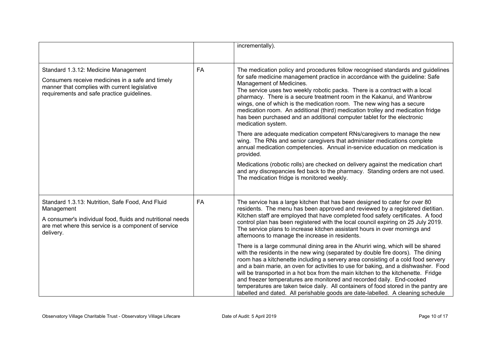|                                                                                                                                                                                                   |           | incrementally).                                                                                                                                                                                                                                                                                                                                                                                                                                                                                                                                                                                                                                                                                                                                                                                                                                                                                                                                                                                                                                                                                                                                                |
|---------------------------------------------------------------------------------------------------------------------------------------------------------------------------------------------------|-----------|----------------------------------------------------------------------------------------------------------------------------------------------------------------------------------------------------------------------------------------------------------------------------------------------------------------------------------------------------------------------------------------------------------------------------------------------------------------------------------------------------------------------------------------------------------------------------------------------------------------------------------------------------------------------------------------------------------------------------------------------------------------------------------------------------------------------------------------------------------------------------------------------------------------------------------------------------------------------------------------------------------------------------------------------------------------------------------------------------------------------------------------------------------------|
| Standard 1.3.12: Medicine Management<br>Consumers receive medicines in a safe and timely<br>manner that complies with current legislative<br>requirements and safe practice guidelines.           | FA        | The medication policy and procedures follow recognised standards and guidelines<br>for safe medicine management practice in accordance with the guideline: Safe<br>Management of Medicines.<br>The service uses two weekly robotic packs. There is a contract with a local<br>pharmacy. There is a secure treatment room in the Kakanui, and Wanbrow<br>wings, one of which is the medication room. The new wing has a secure<br>medication room. An additional (third) medication trolley and medication fridge<br>has been purchased and an additional computer tablet for the electronic<br>medication system.<br>There are adequate medication competent RNs/caregivers to manage the new<br>wing. The RNs and senior caregivers that administer medications complete<br>annual medication competencies. Annual in-service education on medication is<br>provided.<br>Medications (robotic rolls) are checked on delivery against the medication chart<br>and any discrepancies fed back to the pharmacy. Standing orders are not used.<br>The medication fridge is monitored weekly.                                                                      |
| Standard 1.3.13: Nutrition, Safe Food, And Fluid<br>Management<br>A consumer's individual food, fluids and nutritional needs<br>are met where this service is a component of service<br>delivery. | <b>FA</b> | The service has a large kitchen that has been designed to cater for over 80<br>residents. The menu has been approved and reviewed by a registered dietitian.<br>Kitchen staff are employed that have completed food safety certificates. A food<br>control plan has been registered with the local council expiring on 25 July 2019.<br>The service plans to increase kitchen assistant hours in over mornings and<br>afternoons to manage the increase in residents.<br>There is a large communal dining area in the Ahuriri wing, which will be shared<br>with the residents in the new wing (separated by double fire doors). The dining<br>room has a kitchenette including a servery area consisting of a cold food servery<br>and a bain marie, an oven for activities to use for baking, and a dishwasher. Food<br>will be transported in a hot box from the main kitchen to the kitchenette. Fridge<br>and freezer temperatures are monitored and recorded daily. End-cooked<br>temperatures are taken twice daily. All containers of food stored in the pantry are<br>labelled and dated. All perishable goods are date-labelled. A cleaning schedule |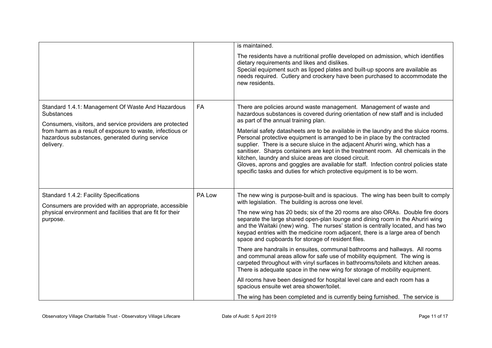|                                                                                                                                                                                                                                                         |        | is maintained.<br>The residents have a nutritional profile developed on admission, which identifies<br>dietary requirements and likes and dislikes.<br>Special equipment such as lipped plates and built-up spoons are available as<br>needs required. Cutlery and crockery have been purchased to accommodate the<br>new residents.                                                                                                                                                                                                                                                                                                                                                                                                                                                                                                                                                                                                                                                                                                                                         |
|---------------------------------------------------------------------------------------------------------------------------------------------------------------------------------------------------------------------------------------------------------|--------|------------------------------------------------------------------------------------------------------------------------------------------------------------------------------------------------------------------------------------------------------------------------------------------------------------------------------------------------------------------------------------------------------------------------------------------------------------------------------------------------------------------------------------------------------------------------------------------------------------------------------------------------------------------------------------------------------------------------------------------------------------------------------------------------------------------------------------------------------------------------------------------------------------------------------------------------------------------------------------------------------------------------------------------------------------------------------|
| Standard 1.4.1: Management Of Waste And Hazardous<br>Substances<br>Consumers, visitors, and service providers are protected<br>from harm as a result of exposure to waste, infectious or<br>hazardous substances, generated during service<br>delivery. | FA     | There are policies around waste management. Management of waste and<br>hazardous substances is covered during orientation of new staff and is included<br>as part of the annual training plan.<br>Material safety datasheets are to be available in the laundry and the sluice rooms.<br>Personal protective equipment is arranged to be in place by the contracted<br>supplier. There is a secure sluice in the adjacent Ahuriri wing, which has a<br>sanitiser. Sharps containers are kept in the treatment room. All chemicals in the<br>kitchen, laundry and sluice areas are closed circuit.<br>Gloves, aprons and goggles are available for staff. Infection control policies state<br>specific tasks and duties for which protective equipment is to be worn.                                                                                                                                                                                                                                                                                                         |
| Standard 1.4.2: Facility Specifications<br>Consumers are provided with an appropriate, accessible<br>physical environment and facilities that are fit for their<br>purpose.                                                                             | PA Low | The new wing is purpose-built and is spacious. The wing has been built to comply<br>with legislation. The building is across one level.<br>The new wing has 20 beds; six of the 20 rooms are also ORAs. Double fire doors<br>separate the large shared open-plan lounge and dining room in the Ahuriri wing<br>and the Waitaki (new) wing. The nurses' station is centrally located, and has two<br>keypad entries with the medicine room adjacent, there is a large area of bench<br>space and cupboards for storage of resident files.<br>There are handrails in ensuites, communal bathrooms and hallways. All rooms<br>and communal areas allow for safe use of mobility equipment. The wing is<br>carpeted throughout with vinyl surfaces in bathrooms/toilets and kitchen areas.<br>There is adequate space in the new wing for storage of mobility equipment.<br>All rooms have been designed for hospital level care and each room has a<br>spacious ensuite wet area shower/toilet.<br>The wing has been completed and is currently being furnished. The service is |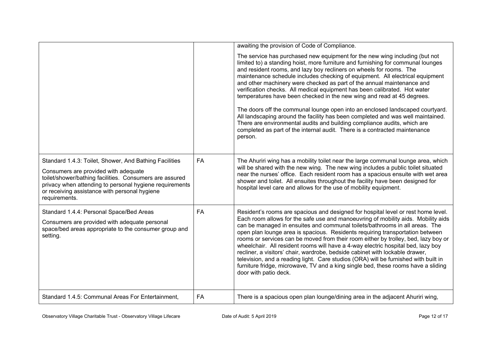|                                                                                                                                                                                                                                                                                        |           | awaiting the provision of Code of Compliance.                                                                                                                                                                                                                                                                                                                                                                                                                                                                                                                                                                                                                                                                                                                                                                                                                                                     |
|----------------------------------------------------------------------------------------------------------------------------------------------------------------------------------------------------------------------------------------------------------------------------------------|-----------|---------------------------------------------------------------------------------------------------------------------------------------------------------------------------------------------------------------------------------------------------------------------------------------------------------------------------------------------------------------------------------------------------------------------------------------------------------------------------------------------------------------------------------------------------------------------------------------------------------------------------------------------------------------------------------------------------------------------------------------------------------------------------------------------------------------------------------------------------------------------------------------------------|
|                                                                                                                                                                                                                                                                                        |           | The service has purchased new equipment for the new wing including (but not<br>limited to) a standing hoist, more furniture and furnishing for communal lounges<br>and resident rooms, and lazy boy recliners on wheels for rooms. The<br>maintenance schedule includes checking of equipment. All electrical equipment<br>and other machinery were checked as part of the annual maintenance and<br>verification checks. All medical equipment has been calibrated. Hot water<br>temperatures have been checked in the new wing and read at 45 degrees.<br>The doors off the communal lounge open into an enclosed landscaped courtyard.<br>All landscaping around the facility has been completed and was well maintained.<br>There are environmental audits and building compliance audits, which are<br>completed as part of the internal audit. There is a contracted maintenance<br>person. |
| Standard 1.4.3: Toilet, Shower, And Bathing Facilities<br>Consumers are provided with adequate<br>toilet/shower/bathing facilities. Consumers are assured<br>privacy when attending to personal hygiene requirements<br>or receiving assistance with personal hygiene<br>requirements. | <b>FA</b> | The Ahuriri wing has a mobility toilet near the large communal lounge area, which<br>will be shared with the new wing. The new wing includes a public toilet situated<br>near the nurses' office. Each resident room has a spacious ensuite with wet area<br>shower and toilet. All ensuites throughout the facility have been designed for<br>hospital level care and allows for the use of mobility equipment.                                                                                                                                                                                                                                                                                                                                                                                                                                                                                  |
| Standard 1.4.4: Personal Space/Bed Areas<br>Consumers are provided with adequate personal<br>space/bed areas appropriate to the consumer group and<br>setting.                                                                                                                         | <b>FA</b> | Resident's rooms are spacious and designed for hospital level or rest home level.<br>Each room allows for the safe use and manoeuvring of mobility aids. Mobility aids<br>can be managed in ensuites and communal toilets/bathrooms in all areas. The<br>open plan lounge area is spacious. Residents requiring transportation between<br>rooms or services can be moved from their room either by trolley, bed, lazy boy or<br>wheelchair. All resident rooms will have a 4-way electric hospital bed, lazy boy<br>recliner, a visitors' chair, wardrobe, bedside cabinet with lockable drawer,<br>television, and a reading light. Care studios (ORA) will be furnished with built in<br>furniture fridge, microwave, TV and a king single bed, these rooms have a sliding<br>door with patio deck.                                                                                             |
| Standard 1.4.5: Communal Areas For Entertainment,                                                                                                                                                                                                                                      | FA        | There is a spacious open plan lounge/dining area in the adjacent Ahuriri wing,                                                                                                                                                                                                                                                                                                                                                                                                                                                                                                                                                                                                                                                                                                                                                                                                                    |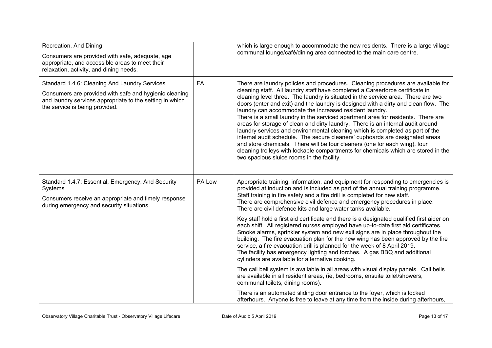| Recreation, And Dining<br>Consumers are provided with safe, adequate, age<br>appropriate, and accessible areas to meet their<br>relaxation, activity, and dining needs.                               |           | which is large enough to accommodate the new residents. There is a large village<br>communal lounge/café/dining area connected to the main care centre.                                                                                                                                                                                                                                                                                                                                                                                                                                                                                                                                                                                                                                                                                                                                                                                                                                                                                                                                                                                                                                                                                                                                                                                               |
|-------------------------------------------------------------------------------------------------------------------------------------------------------------------------------------------------------|-----------|-------------------------------------------------------------------------------------------------------------------------------------------------------------------------------------------------------------------------------------------------------------------------------------------------------------------------------------------------------------------------------------------------------------------------------------------------------------------------------------------------------------------------------------------------------------------------------------------------------------------------------------------------------------------------------------------------------------------------------------------------------------------------------------------------------------------------------------------------------------------------------------------------------------------------------------------------------------------------------------------------------------------------------------------------------------------------------------------------------------------------------------------------------------------------------------------------------------------------------------------------------------------------------------------------------------------------------------------------------|
| Standard 1.4.6: Cleaning And Laundry Services<br>Consumers are provided with safe and hygienic cleaning<br>and laundry services appropriate to the setting in which<br>the service is being provided. | <b>FA</b> | There are laundry policies and procedures. Cleaning procedures are available for<br>cleaning staff. All laundry staff have completed a Careerforce certificate in<br>cleaning level three. The laundry is situated in the service area. There are two<br>doors (enter and exit) and the laundry is designed with a dirty and clean flow. The<br>laundry can accommodate the increased resident laundry.<br>There is a small laundry in the serviced apartment area for residents. There are<br>areas for storage of clean and dirty laundry. There is an internal audit around<br>laundry services and environmental cleaning which is completed as part of the<br>internal audit schedule. The secure cleaners' cupboards are designated areas<br>and store chemicals. There will be four cleaners (one for each wing), four<br>cleaning trolleys with lockable compartments for chemicals which are stored in the<br>two spacious sluice rooms in the facility.                                                                                                                                                                                                                                                                                                                                                                                     |
| Standard 1.4.7: Essential, Emergency, And Security<br>Systems<br>Consumers receive an appropriate and timely response<br>during emergency and security situations.                                    | PA Low    | Appropriate training, information, and equipment for responding to emergencies is<br>provided at induction and is included as part of the annual training programme.<br>Staff training in fire safety and a fire drill is completed for new staff.<br>There are comprehensive civil defence and emergency procedures in place.<br>There are civil defence kits and large water tanks available.<br>Key staff hold a first aid certificate and there is a designated qualified first aider on<br>each shift. All registered nurses employed have up-to-date first aid certificates.<br>Smoke alarms, sprinkler system and new exit signs are in place throughout the<br>building. The fire evacuation plan for the new wing has been approved by the fire<br>service, a fire evacuation drill is planned for the week of 8 April 2019.<br>The facility has emergency lighting and torches. A gas BBQ and additional<br>cylinders are available for alternative cooking.<br>The call bell system is available in all areas with visual display panels. Call bells<br>are available in all resident areas, (ie, bedrooms, ensuite toilet/showers,<br>communal toilets, dining rooms).<br>There is an automated sliding door entrance to the foyer, which is locked<br>afterhours. Anyone is free to leave at any time from the inside during afterhours, |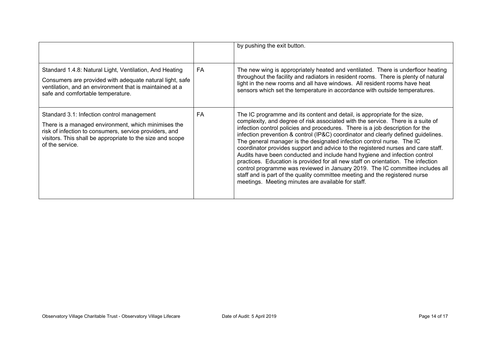|                                                                                                                                                                                                                                             |     | by pushing the exit button.                                                                                                                                                                                                                                                                                                                                                                                                                                                                                                                                                                                                                                                                                                                                                                                                                                                            |
|---------------------------------------------------------------------------------------------------------------------------------------------------------------------------------------------------------------------------------------------|-----|----------------------------------------------------------------------------------------------------------------------------------------------------------------------------------------------------------------------------------------------------------------------------------------------------------------------------------------------------------------------------------------------------------------------------------------------------------------------------------------------------------------------------------------------------------------------------------------------------------------------------------------------------------------------------------------------------------------------------------------------------------------------------------------------------------------------------------------------------------------------------------------|
| Standard 1.4.8: Natural Light, Ventilation, And Heating<br>Consumers are provided with adequate natural light, safe<br>ventilation, and an environment that is maintained at a<br>safe and comfortable temperature.                         | FA. | The new wing is appropriately heated and ventilated. There is underfloor heating<br>throughout the facility and radiators in resident rooms. There is plenty of natural<br>light in the new rooms and all have windows. All resident rooms have heat<br>sensors which set the temperature in accordance with outside temperatures.                                                                                                                                                                                                                                                                                                                                                                                                                                                                                                                                                     |
| Standard 3.1: Infection control management<br>There is a managed environment, which minimises the<br>risk of infection to consumers, service providers, and<br>visitors. This shall be appropriate to the size and scope<br>of the service. | FA  | The IC programme and its content and detail, is appropriate for the size,<br>complexity, and degree of risk associated with the service. There is a suite of<br>infection control policies and procedures. There is a job description for the<br>infection prevention & control (IP&C) coordinator and clearly defined guidelines.<br>The general manager is the designated infection control nurse. The IC<br>coordinator provides support and advice to the registered nurses and care staff.<br>Audits have been conducted and include hand hygiene and infection control<br>practices. Education is provided for all new staff on orientation. The infection<br>control programme was reviewed in January 2019. The IC committee includes all<br>staff and is part of the quality committee meeting and the registered nurse<br>meetings. Meeting minutes are available for staff. |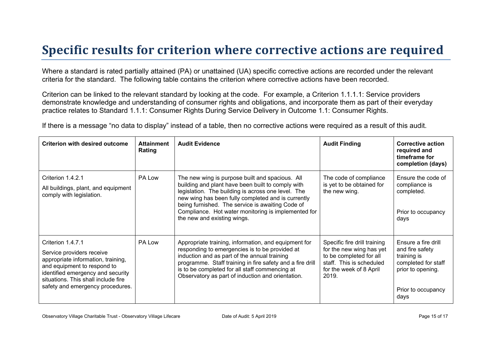### **Specific results for criterion where corrective actions are required**

Where a standard is rated partially attained (PA) or unattained (UA) specific corrective actions are recorded under the relevant criteria for the standard. The following table contains the criterion where corrective actions have been recorded.

Criterion can be linked to the relevant standard by looking at the code. For example, a Criterion 1.1.1.1: Service providers demonstrate knowledge and understanding of consumer rights and obligations, and incorporate them as part of their everyday practice relates to Standard 1.1.1: Consumer Rights During Service Delivery in Outcome 1.1: Consumer Rights.

If there is a message "no data to display" instead of a table, then no corrective actions were required as a result of this audit.

| <b>Criterion with desired outcome</b>                                                                                                                                                                                               | <b>Attainment</b><br>Rating | <b>Audit Evidence</b>                                                                                                                                                                                                                                                                                                                                      | <b>Audit Finding</b>                                                                                                                                | <b>Corrective action</b><br>required and<br>timeframe for<br>completion (days)                                                  |
|-------------------------------------------------------------------------------------------------------------------------------------------------------------------------------------------------------------------------------------|-----------------------------|------------------------------------------------------------------------------------------------------------------------------------------------------------------------------------------------------------------------------------------------------------------------------------------------------------------------------------------------------------|-----------------------------------------------------------------------------------------------------------------------------------------------------|---------------------------------------------------------------------------------------------------------------------------------|
| Criterion 1.4.2.1<br>All buildings, plant, and equipment<br>comply with legislation.                                                                                                                                                | PA Low                      | The new wing is purpose built and spacious. All<br>building and plant have been built to comply with<br>legislation. The building is across one level. The<br>new wing has been fully completed and is currently<br>being furnished. The service is awaiting Code of<br>Compliance. Hot water monitoring is implemented for<br>the new and existing wings. | The code of compliance<br>is yet to be obtained for<br>the new wing.                                                                                | Ensure the code of<br>compliance is<br>completed.<br>Prior to occupancy<br>days                                                 |
| Criterion 1.4.7.1<br>Service providers receive<br>appropriate information, training,<br>and equipment to respond to<br>identified emergency and security<br>situations. This shall include fire<br>safety and emergency procedures. | PA Low                      | Appropriate training, information, and equipment for<br>responding to emergencies is to be provided at<br>induction and as part of the annual training<br>programme. Staff training in fire safety and a fire drill<br>is to be completed for all staff commencing at<br>Observatory as part of induction and orientation.                                 | Specific fire drill training<br>for the new wing has yet<br>to be completed for all<br>staff. This is scheduled<br>for the week of 8 April<br>2019. | Ensure a fire drill<br>and fire safety<br>training is<br>completed for staff<br>prior to opening.<br>Prior to occupancy<br>days |